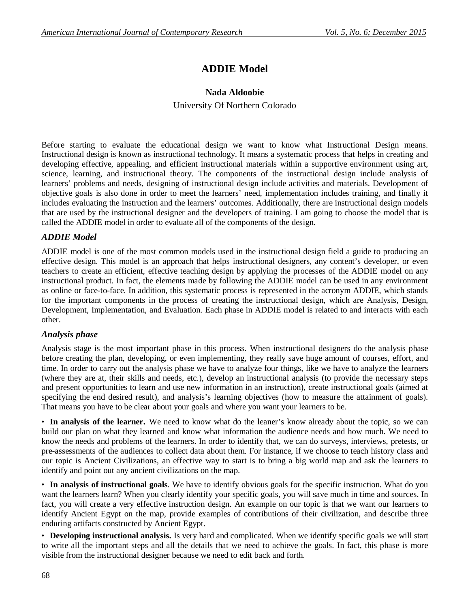# **ADDIE Model**

## **Nada Aldoobie**

University Of Northern Colorado

Before starting to evaluate the educational design we want to know what Instructional Design means. Instructional design is known as instructional technology. It means a systematic process that helps in creating and developing effective, appealing, and efficient instructional materials within a supportive environment using art, science, learning, and instructional theory. The components of the instructional design include analysis of learners' problems and needs, designing of instructional design include activities and materials. Development of objective goals is also done in order to meet the learners' need, implementation includes training, and finally it includes evaluating the instruction and the learners' outcomes. Additionally, there are instructional design models that are used by the instructional designer and the developers of training. I am going to choose the model that is called the ADDIE model in order to evaluate all of the components of the design.

## *ADDIE Model*

ADDIE model is one of the most common models used in the instructional design field a guide to producing an effective design. This model is an approach that helps instructional designers, any content's developer, or even teachers to create an efficient, effective teaching design by applying the processes of the ADDIE model on any instructional product. In fact, the elements made by following the ADDIE model can be used in any environment as online or face-to-face. In addition, this systematic process is represented in the acronym ADDIE, which stands for the important components in the process of creating the instructional design, which are Analysis, Design, Development, Implementation, and Evaluation. Each phase in ADDIE model is related to and interacts with each other.

## *Analysis phase*

Analysis stage is the most important phase in this process. When instructional designers do the analysis phase before creating the plan, developing, or even implementing, they really save huge amount of courses, effort, and time. In order to carry out the analysis phase we have to analyze four things, like we have to analyze the learners (where they are at, their skills and needs, etc.), develop an instructional analysis (to provide the necessary steps and present opportunities to learn and use new information in an instruction), create instructional goals (aimed at specifying the end desired result), and analysis's learning objectives (how to measure the attainment of goals). That means you have to be clear about your goals and where you want your learners to be.

• **In analysis of the learner.** We need to know what do the leaner's know already about the topic, so we can build our plan on what they learned and know what information the audience needs and how much. We need to know the needs and problems of the learners. In order to identify that, we can do surveys, interviews, pretests, or pre-assessments of the audiences to collect data about them. For instance, if we choose to teach history class and our topic is Ancient Civilizations, an effective way to start is to bring a big world map and ask the learners to identify and point out any ancient civilizations on the map.

• **In analysis of instructional goals**. We have to identify obvious goals for the specific instruction. What do you want the learners learn? When you clearly identify your specific goals, you will save much in time and sources. In fact, you will create a very effective instruction design. An example on our topic is that we want our learners to identify Ancient Egypt on the map, provide examples of contributions of their civilization, and describe three enduring artifacts constructed by Ancient Egypt.

• **Developing instructional analysis.** Is very hard and complicated. When we identify specific goals we will start to write all the important steps and all the details that we need to achieve the goals. In fact, this phase is more visible from the instructional designer because we need to edit back and forth.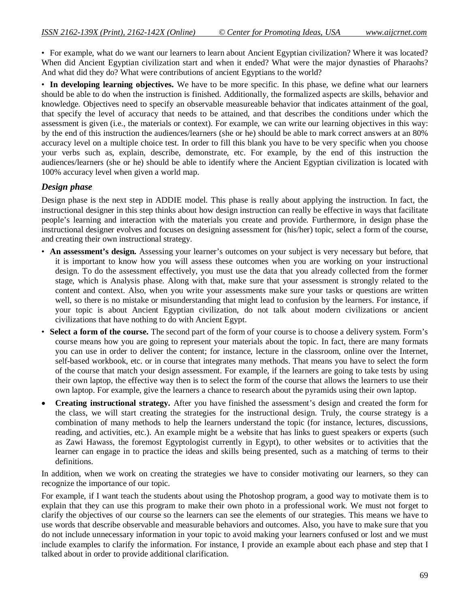• For example, what do we want our learners to learn about Ancient Egyptian civilization? Where it was located? When did Ancient Egyptian civilization start and when it ended? What were the major dynasties of Pharaohs? And what did they do? What were contributions of ancient Egyptians to the world?

• **In developing learning objectives.** We have to be more specific. In this phase, we define what our learners should be able to do when the instruction is finished. Additionally, the formalized aspects are skills, behavior and knowledge. Objectives need to specify an observable measureable behavior that indicates attainment of the goal, that specify the level of accuracy that needs to be attained, and that describes the conditions under which the assessment is given (i.e., the materials or context). For example, we can write our learning objectives in this way: by the end of this instruction the audiences/learners (she or he) should be able to mark correct answers at an 80% accuracy level on a multiple choice test. In order to fill this blank you have to be very specific when you choose your verbs such as, explain, describe, demonstrate, etc. For example, by the end of this instruction the audiences/learners (she or he) should be able to identify where the Ancient Egyptian civilization is located with 100% accuracy level when given a world map.

## *Design phase*

Design phase is the next step in ADDIE model. This phase is really about applying the instruction. In fact, the instructional designer in this step thinks about how design instruction can really be effective in ways that facilitate people's learning and interaction with the materials you create and provide. Furthermore, in design phase the instructional designer evolves and focuses on designing assessment for (his/her) topic, select a form of the course, and creating their own instructional strategy.

- **An assessment's design.** Assessing your learner's outcomes on your subject is very necessary but before, that it is important to know how you will assess these outcomes when you are working on your instructional design. To do the assessment effectively, you must use the data that you already collected from the former stage, which is Analysis phase. Along with that, make sure that your assessment is strongly related to the content and context. Also, when you write your assessments make sure your tasks or questions are written well, so there is no mistake or misunderstanding that might lead to confusion by the learners. For instance, if your topic is about Ancient Egyptian civilization, do not talk about modern civilizations or ancient civilizations that have nothing to do with Ancient Egypt.
- **Select a form of the course.** The second part of the form of your course is to choose a delivery system. Form's course means how you are going to represent your materials about the topic. In fact, there are many formats you can use in order to deliver the content; for instance, lecture in the classroom, online over the Internet, self-based workbook, etc. or in course that integrates many methods. That means you have to select the form of the course that match your design assessment. For example, if the learners are going to take tests by using their own laptop, the effective way then is to select the form of the course that allows the learners to use their own laptop. For example, give the learners a chance to research about the pyramids using their own laptop.
- **Creating instructional strategy.** After you have finished the assessment's design and created the form for the class, we will start creating the strategies for the instructional design. Truly, the course strategy is a combination of many methods to help the learners understand the topic (for instance, lectures, discussions, reading, and activities, etc.). An example might be a website that has links to guest speakers or experts (such as Zawi Hawass, the foremost Egyptologist currently in Egypt), to other websites or to activities that the learner can engage in to practice the ideas and skills being presented, such as a matching of terms to their definitions.

In addition, when we work on creating the strategies we have to consider motivating our learners, so they can recognize the importance of our topic.

For example, if I want teach the students about using the Photoshop program, a good way to motivate them is to explain that they can use this program to make their own photo in a professional work. We must not forget to clarify the objectives of our course so the learners can see the elements of our strategies. This means we have to use words that describe observable and measurable behaviors and outcomes. Also, you have to make sure that you do not include unnecessary information in your topic to avoid making your learners confused or lost and we must include examples to clarify the information. For instance, I provide an example about each phase and step that I talked about in order to provide additional clarification.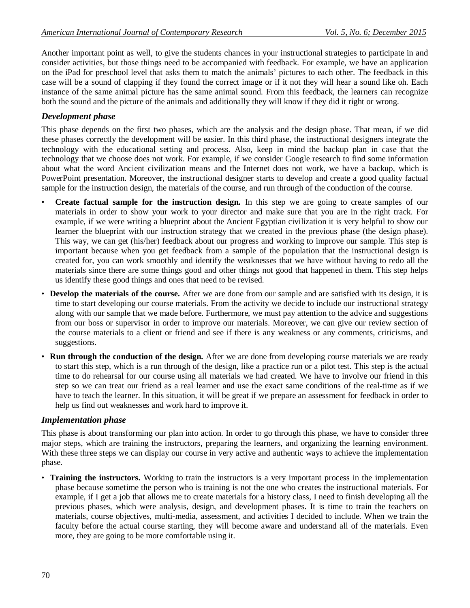Another important point as well, to give the students chances in your instructional strategies to participate in and consider activities, but those things need to be accompanied with feedback. For example, we have an application on the iPad for preschool level that asks them to match the animals' pictures to each other. The feedback in this case will be a sound of clapping if they found the correct image or if it not they will hear a sound like oh. Each instance of the same animal picture has the same animal sound. From this feedback, the learners can recognize both the sound and the picture of the animals and additionally they will know if they did it right or wrong.

## *Development phase*

This phase depends on the first two phases, which are the analysis and the design phase. That mean, if we did these phases correctly the development will be easier. In this third phase, the instructional designers integrate the technology with the educational setting and process. Also, keep in mind the backup plan in case that the technology that we choose does not work. For example, if we consider Google research to find some information about what the word Ancient civilization means and the Internet does not work, we have a backup, which is PowerPoint presentation. Moreover, the instructional designer starts to develop and create a good quality factual sample for the instruction design, the materials of the course, and run through of the conduction of the course.

- **Create factual sample for the instruction design.** In this step we are going to create samples of our materials in order to show your work to your director and make sure that you are in the right track. For example, if we were writing a blueprint about the Ancient Egyptian civilization it is very helpful to show our learner the blueprint with our instruction strategy that we created in the previous phase (the design phase). This way, we can get (his/her) feedback about our progress and working to improve our sample. This step is important because when you get feedback from a sample of the population that the instructional design is created for, you can work smoothly and identify the weaknesses that we have without having to redo all the materials since there are some things good and other things not good that happened in them. This step helps us identify these good things and ones that need to be revised.
- **Develop the materials of the course.** After we are done from our sample and are satisfied with its design, it is time to start developing our course materials. From the activity we decide to include our instructional strategy along with our sample that we made before. Furthermore, we must pay attention to the advice and suggestions from our boss or supervisor in order to improve our materials. Moreover, we can give our review section of the course materials to a client or friend and see if there is any weakness or any comments, criticisms, and suggestions.
- **Run through the conduction of the design.** After we are done from developing course materials we are ready to start this step, which is a run through of the design, like a practice run or a pilot test. This step is the actual time to do rehearsal for our course using all materials we had created. We have to involve our friend in this step so we can treat our friend as a real learner and use the exact same conditions of the real-time as if we have to teach the learner. In this situation, it will be great if we prepare an assessment for feedback in order to help us find out weaknesses and work hard to improve it.

## *Implementation phase*

This phase is about transforming our plan into action. In order to go through this phase, we have to consider three major steps, which are training the instructors, preparing the learners, and organizing the learning environment. With these three steps we can display our course in very active and authentic ways to achieve the implementation phase.

• **Training the instructors.** Working to train the instructors is a very important process in the implementation phase because sometime the person who is training is not the one who creates the instructional materials. For example, if I get a job that allows me to create materials for a history class, I need to finish developing all the previous phases, which were analysis, design, and development phases. It is time to train the teachers on materials, course objectives, multi-media, assessment, and activities I decided to include. When we train the faculty before the actual course starting, they will become aware and understand all of the materials. Even more, they are going to be more comfortable using it.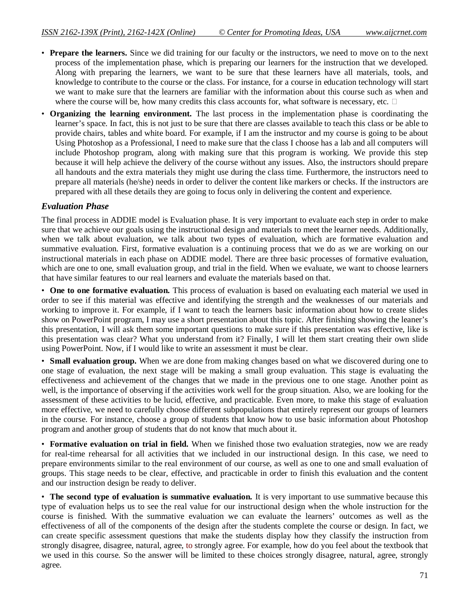- **Prepare the learners.** Since we did training for our faculty or the instructors, we need to move on to the next process of the implementation phase, which is preparing our learners for the instruction that we developed. Along with preparing the learners, we want to be sure that these learners have all materials, tools, and knowledge to contribute to the course or the class. For instance, for a course in education technology will start we want to make sure that the learners are familiar with the information about this course such as when and where the course will be, how many credits this class accounts for, what software is necessary, etc.  $\Box$
- **Organizing the learning environment.** The last process in the implementation phase is coordinating the learner's space. In fact, this is not just to be sure that there are classes available to teach this class or be able to provide chairs, tables and white board. For example, if I am the instructor and my course is going to be about Using Photoshop as a Professional, I need to make sure that the class I choose has a lab and all computers will include Photoshop program, along with making sure that this program is working. We provide this step because it will help achieve the delivery of the course without any issues. Also, the instructors should prepare all handouts and the extra materials they might use during the class time. Furthermore, the instructors need to prepare all materials (he/she) needs in order to deliver the content like markers or checks. If the instructors are prepared with all these details they are going to focus only in delivering the content and experience.

## *Evaluation Phase*

The final process in ADDIE model is Evaluation phase. It is very important to evaluate each step in order to make sure that we achieve our goals using the instructional design and materials to meet the learner needs. Additionally, when we talk about evaluation, we talk about two types of evaluation, which are formative evaluation and summative evaluation. First, formative evaluation is a continuing process that we do as we are working on our instructional materials in each phase on ADDIE model. There are three basic processes of formative evaluation, which are one to one, small evaluation group, and trial in the field. When we evaluate, we want to choose learners that have similar features to our real learners and evaluate the materials based on that.

• **One to one formative evaluation.** This process of evaluation is based on evaluating each material we used in order to see if this material was effective and identifying the strength and the weaknesses of our materials and working to improve it. For example, if I want to teach the learners basic information about how to create slides show on PowerPoint program, I may use a short presentation about this topic. After finishing showing the leaner's this presentation, I will ask them some important questions to make sure if this presentation was effective, like is this presentation was clear? What you understand from it? Finally, I will let them start creating their own slide using PowerPoint. Now, if I would like to write an assessment it must be clear.

• **Small evaluation group.** When we are done from making changes based on what we discovered during one to one stage of evaluation, the next stage will be making a small group evaluation. This stage is evaluating the effectiveness and achievement of the changes that we made in the previous one to one stage. Another point as well, is the importance of observing if the activities work well for the group situation. Also, we are looking for the assessment of these activities to be lucid, effective, and practicable. Even more, to make this stage of evaluation more effective, we need to carefully choose different subpopulations that entirely represent our groups of learners in the course. For instance, choose a group of students that know how to use basic information about Photoshop program and another group of students that do not know that much about it.

• **Formative evaluation on trial in field.** When we finished those two evaluation strategies, now we are ready for real-time rehearsal for all activities that we included in our instructional design. In this case, we need to prepare environments similar to the real environment of our course, as well as one to one and small evaluation of groups. This stage needs to be clear, effective, and practicable in order to finish this evaluation and the content and our instruction design be ready to deliver.

• **The second type of evaluation is summative evaluation.** It is very important to use summative because this type of evaluation helps us to see the real value for our instructional design when the whole instruction for the course is finished. With the summative evaluation we can evaluate the learners' outcomes as well as the effectiveness of all of the components of the design after the students complete the course or design. In fact, we can create specific assessment questions that make the students display how they classify the instruction from strongly disagree, disagree, natural, agree, to strongly agree. For example, how do you feel about the textbook that we used in this course. So the answer will be limited to these choices strongly disagree, natural, agree, strongly agree.